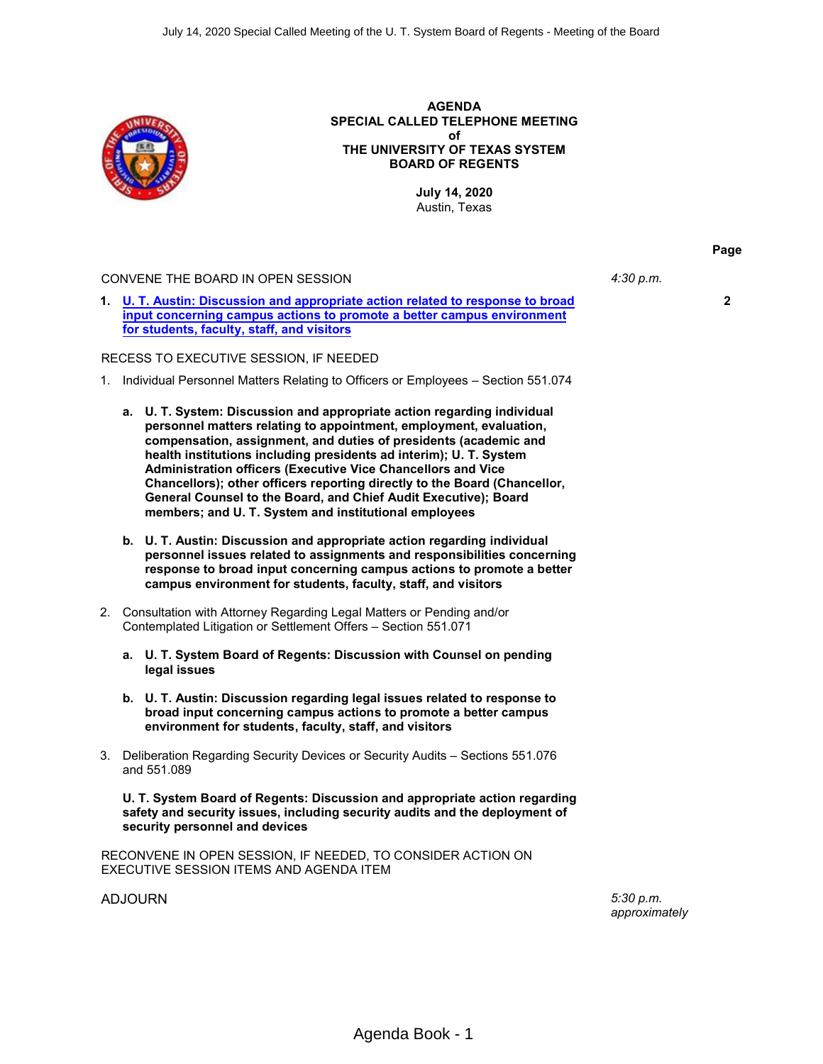

### **AGENDA SPECIAL CALLED TELEPHONE MEETING of THE UNIVERSITY OF TEXAS SYSTEM BOARD OF REGENTS**

**July 14, 2020** Austin, Texas

#### CONVENE THE BOARD IN OPEN SESSION *4:30 p.m.*

**1. [U. T. Austin: Discussion and appropriate action related to response to broad](#page-1-0) [input concerning campus actions to promote a better campus environment](#page-1-0) [for students, faculty, staff, and visitors](#page-1-0)**

#### RECESS TO EXECUTIVE SESSION, IF NEEDED

- 1. Individual Personnel Matters Relating to Officers or Employees Section 551.074
	- **a. U. T. System: Discussion and appropriate action regarding individual personnel matters relating to appointment, employment, evaluation, compensation, assignment, and duties of presidents (academic and health institutions including presidents ad interim); U. T. System Administration officers (Executive Vice Chancellors and Vice Chancellors); other officers reporting directly to the Board (Chancellor, General Counsel to the Board, and Chief Audit Executive); Board members; and U. T. System and institutional employees**
	- **b. U. T. Austin: Discussion and appropriate action regarding individual personnel issues related to assignments and responsibilities concerning response to broad input concerning campus actions to promote a better campus environment for students, faculty, staff, and visitors**
- 2. Consultation with Attorney Regarding Legal Matters or Pending and/or Contemplated Litigation or Settlement Offers – Section 551.071
	- **a. U. T. System Board of Regents: Discussion with Counsel on pending legal issues**
	- **b. U. T. Austin: Discussion regarding legal issues related to response to broad input concerning campus actions to promote a better campus environment for students, faculty, staff, and visitors**
- 3. Deliberation Regarding Security Devices or Security Audits Sections 551.076 and 551.089

**U. T. System Board of Regents: Discussion and appropriate action regarding safety and security issues, including security audits and the deployment of security personnel and devices**

RECONVENE IN OPEN SESSION, IF NEEDED, TO CONSIDER ACTION ON EXECUTIVE SESSION ITEMS AND AGENDA ITEM

ADJOURN *5:30 p.m.*

*approximately*

**2**

**Page**